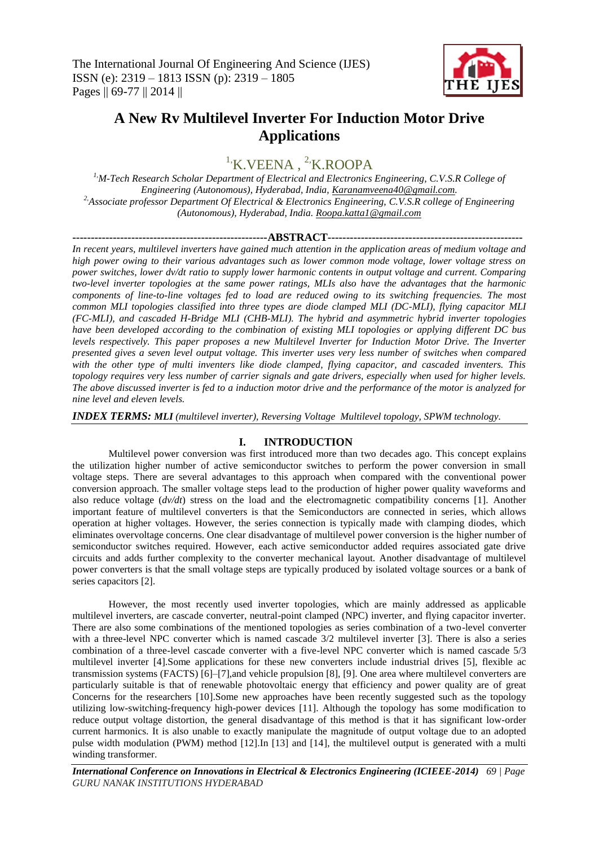

# **A New Rv Multilevel Inverter For Induction Motor Drive Applications**

<sup>1</sup><sub>K</sub>.VEENA, <sup>2</sup><sub>K</sub>.ROOPA

*1,M-Tech Research Scholar Department of Electrical and Electronics Engineering, C.V.S.R College of Engineering (Autonomous), Hyderabad, India, [Karanamveena40@gmail.com.](mailto:Karanamveena40@gmail.com) 2,Associate professor Department Of Electrical & Electronics Engineering, C.V.S.R college of Engineering (Autonomous), Hyderabad, India. [Roopa.katta1@gmail.com](mailto:Roopa.katta1@gmail.com)*

#### **-----------------------------------------------------ABSTRACT-----------------------------------------------------**

*In recent years, multilevel inverters have gained much attention in the application areas of medium voltage and high power owing to their various advantages such as lower common mode voltage, lower voltage stress on power switches, lower dv/dt ratio to supply lower harmonic contents in output voltage and current. Comparing two-level inverter topologies at the same power ratings, MLIs also have the advantages that the harmonic components of line-to-line voltages fed to load are reduced owing to its switching frequencies. The most common MLI topologies classified into three types are diode clamped MLI (DC-MLI), flying capacitor MLI (FC-MLI), and cascaded H-Bridge MLI (CHB-MLI). The hybrid and asymmetric hybrid inverter topologies have been developed according to the combination of existing MLI topologies or applying different DC bus levels respectively. This paper proposes a new Multilevel Inverter for Induction Motor Drive. The Inverter presented gives a seven level output voltage. This inverter uses very less number of switches when compared with the other type of multi inventers like diode clamped, flying capacitor, and cascaded inventers. This topology requires very less number of carrier signals and gate drivers, especially when used for higher levels. The above discussed inverter is fed to a induction motor drive and the performance of the motor is analyzed for nine level and eleven levels.*

*INDEX TERMS: MLI (multilevel inverter), Reversing Voltage Multilevel topology, SPWM technology.*

# **I. INTRODUCTION**

Multilevel power conversion was first introduced more than two decades ago. This concept explains the utilization higher number of active semiconductor switches to perform the power conversion in small voltage steps. There are several advantages to this approach when compared with the conventional power conversion approach. The smaller voltage steps lead to the production of higher power quality waveforms and also reduce voltage (*dv/dt*) stress on the load and the electromagnetic compatibility concerns [1]. Another important feature of multilevel converters is that the Semiconductors are connected in series, which allows operation at higher voltages. However, the series connection is typically made with clamping diodes, which eliminates overvoltage concerns. One clear disadvantage of multilevel power conversion is the higher number of semiconductor switches required. However, each active semiconductor added requires associated gate drive circuits and adds further complexity to the converter mechanical layout. Another disadvantage of multilevel power converters is that the small voltage steps are typically produced by isolated voltage sources or a bank of series capacitors [2].

However, the most recently used inverter topologies, which are mainly addressed as applicable multilevel inverters, are cascade converter, neutral-point clamped (NPC) inverter, and flying capacitor inverter. There are also some combinations of the mentioned topologies as series combination of a two-level converter with a three-level NPC converter which is named cascade 3/2 multilevel inverter [3]. There is also a series combination of a three-level cascade converter with a five-level NPC converter which is named cascade 5/3 multilevel inverter [4].Some applications for these new converters include industrial drives [5], flexible ac transmission systems (FACTS) [6]–[7],and vehicle propulsion [8], [9]. One area where multilevel converters are particularly suitable is that of renewable photovoltaic energy that efficiency and power quality are of great Concerns for the researchers [10].Some new approaches have been recently suggested such as the topology utilizing low-switching-frequency high-power devices [11]. Although the topology has some modification to reduce output voltage distortion, the general disadvantage of this method is that it has significant low-order current harmonics. It is also unable to exactly manipulate the magnitude of output voltage due to an adopted pulse width modulation (PWM) method [12].In [13] and [14], the multilevel output is generated with a multi winding transformer.

*International Conference on Innovations in Electrical & Electronics Engineering (ICIEEE-2014) 69 | Page GURU NANAK INSTITUTIONS HYDERABAD*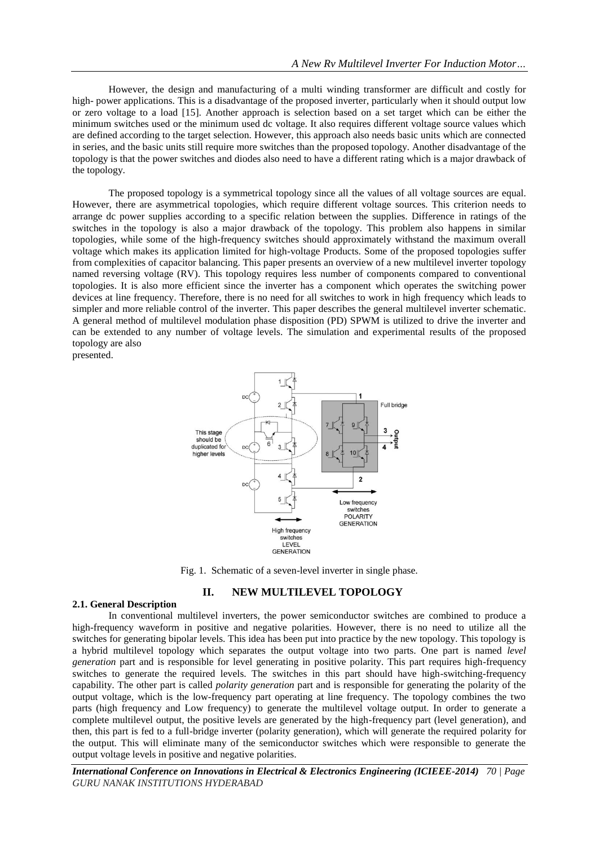However, the design and manufacturing of a multi winding transformer are difficult and costly for high- power applications. This is a disadvantage of the proposed inverter, particularly when it should output low or zero voltage to a load [15]. Another approach is selection based on a set target which can be either the minimum switches used or the minimum used dc voltage. It also requires different voltage source values which are defined according to the target selection. However, this approach also needs basic units which are connected in series, and the basic units still require more switches than the proposed topology. Another disadvantage of the topology is that the power switches and diodes also need to have a different rating which is a major drawback of the topology.

The proposed topology is a symmetrical topology since all the values of all voltage sources are equal. However, there are asymmetrical topologies, which require different voltage sources. This criterion needs to arrange dc power supplies according to a specific relation between the supplies. Difference in ratings of the switches in the topology is also a major drawback of the topology. This problem also happens in similar topologies, while some of the high-frequency switches should approximately withstand the maximum overall voltage which makes its application limited for high-voltage Products. Some of the proposed topologies suffer from complexities of capacitor balancing. This paper presents an overview of a new multilevel inverter topology named reversing voltage (RV). This topology requires less number of components compared to conventional topologies. It is also more efficient since the inverter has a component which operates the switching power devices at line frequency. Therefore, there is no need for all switches to work in high frequency which leads to simpler and more reliable control of the inverter. This paper describes the general multilevel inverter schematic. A general method of multilevel modulation phase disposition (PD) SPWM is utilized to drive the inverter and can be extended to any number of voltage levels. The simulation and experimental results of the proposed topology are also

presented.



Fig. 1. Schematic of a seven-level inverter in single phase.

## **II. NEW MULTILEVEL TOPOLOGY**

#### **2.1. General Description**

In conventional multilevel inverters, the power semiconductor switches are combined to produce a high-frequency waveform in positive and negative polarities. However, there is no need to utilize all the switches for generating bipolar levels. This idea has been put into practice by the new topology. This topology is a hybrid multilevel topology which separates the output voltage into two parts. One part is named *level generation* part and is responsible for level generating in positive polarity. This part requires high-frequency switches to generate the required levels. The switches in this part should have high-switching-frequency capability. The other part is called *polarity generation* part and is responsible for generating the polarity of the output voltage, which is the low-frequency part operating at line frequency. The topology combines the two parts (high frequency and Low frequency) to generate the multilevel voltage output. In order to generate a complete multilevel output, the positive levels are generated by the high-frequency part (level generation), and then, this part is fed to a full-bridge inverter (polarity generation), which will generate the required polarity for the output. This will eliminate many of the semiconductor switches which were responsible to generate the output voltage levels in positive and negative polarities.

*International Conference on Innovations in Electrical & Electronics Engineering (ICIEEE-2014) 70 | Page GURU NANAK INSTITUTIONS HYDERABAD*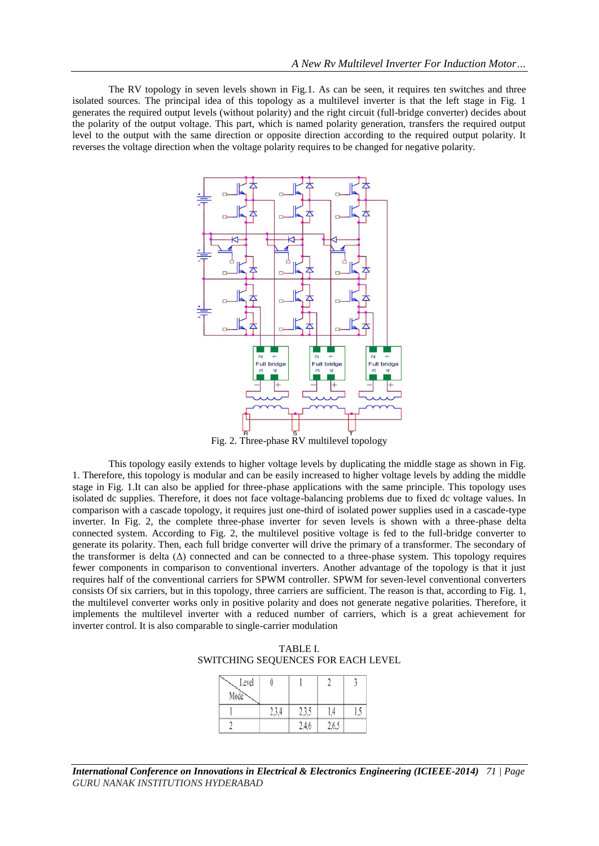The RV topology in seven levels shown in Fig.1. As can be seen, it requires ten switches and three isolated sources. The principal idea of this topology as a multilevel inverter is that the left stage in Fig. 1 generates the required output levels (without polarity) and the right circuit (full-bridge converter) decides about the polarity of the output voltage. This part, which is named polarity generation, transfers the required output level to the output with the same direction or opposite direction according to the required output polarity. It reverses the voltage direction when the voltage polarity requires to be changed for negative polarity.



Fig. 2. Three-phase RV multilevel topology

This topology easily extends to higher voltage levels by duplicating the middle stage as shown in Fig. 1. Therefore, this topology is modular and can be easily increased to higher voltage levels by adding the middle stage in Fig. 1.It can also be applied for three-phase applications with the same principle. This topology uses isolated dc supplies. Therefore, it does not face voltage-balancing problems due to fixed dc voltage values. In comparison with a cascade topology, it requires just one-third of isolated power supplies used in a cascade-type inverter. In Fig. 2, the complete three-phase inverter for seven levels is shown with a three-phase delta connected system. According to Fig. 2, the multilevel positive voltage is fed to the full-bridge converter to generate its polarity. Then, each full bridge converter will drive the primary of a transformer. The secondary of the transformer is delta  $(\Delta)$  connected and can be connected to a three-phase system. This topology requires fewer components in comparison to conventional inverters. Another advantage of the topology is that it just requires half of the conventional carriers for SPWM controller. SPWM for seven-level conventional converters consists Of six carriers, but in this topology, three carriers are sufficient. The reason is that, according to Fig. 1, the multilevel converter works only in positive polarity and does not generate negative polarities. Therefore, it implements the multilevel inverter with a reduced number of carriers, which is a great achievement for inverter control. It is also comparable to single-carrier modulation

TABLE I. SWITCHING SEQUENCES FOR EACH LEVEL

| Level<br>Mode |    |       |       |     |
|---------------|----|-------|-------|-----|
|               | າເ |       |       | is. |
|               |    | 2,4,6 | 2,6,5 |     |

*International Conference on Innovations in Electrical & Electronics Engineering (ICIEEE-2014) 71 | Page GURU NANAK INSTITUTIONS HYDERABAD*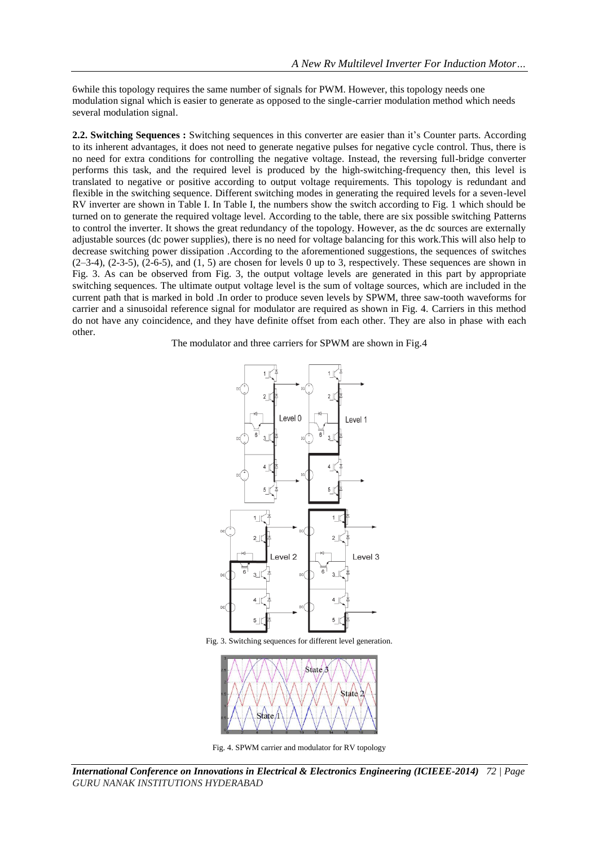6while this topology requires the same number of signals for PWM. However, this topology needs one modulation signal which is easier to generate as opposed to the single-carrier modulation method which needs several modulation signal.

**2.2. Switching Sequences :** Switching sequences in this converter are easier than it's Counter parts. According to its inherent advantages, it does not need to generate negative pulses for negative cycle control. Thus, there is no need for extra conditions for controlling the negative voltage. Instead, the reversing full-bridge converter performs this task, and the required level is produced by the high-switching-frequency then, this level is translated to negative or positive according to output voltage requirements. This topology is redundant and flexible in the switching sequence. Different switching modes in generating the required levels for a seven-level RV inverter are shown in Table I. In Table I, the numbers show the switch according to Fig. 1 which should be turned on to generate the required voltage level. According to the table, there are six possible switching Patterns to control the inverter. It shows the great redundancy of the topology. However, as the dc sources are externally adjustable sources (dc power supplies), there is no need for voltage balancing for this work.This will also help to decrease switching power dissipation .According to the aforementioned suggestions, the sequences of switches  $(2-3-4)$ ,  $(2-3-5)$ ,  $(2-6-5)$ , and  $(1, 5)$  are chosen for levels 0 up to 3, respectively. These sequences are shown in Fig. 3. As can be observed from Fig. 3, the output voltage levels are generated in this part by appropriate switching sequences. The ultimate output voltage level is the sum of voltage sources, which are included in the current path that is marked in bold .In order to produce seven levels by SPWM, three saw-tooth waveforms for carrier and a sinusoidal reference signal for modulator are required as shown in Fig. 4. Carriers in this method do not have any coincidence, and they have definite offset from each other. They are also in phase with each other.

The modulator and three carriers for SPWM are shown in Fig.4



Fig. 3. Switching sequences for different level generation.



Fig. 4. SPWM carrier and modulator for RV topology

*International Conference on Innovations in Electrical & Electronics Engineering (ICIEEE-2014) 72 | Page GURU NANAK INSTITUTIONS HYDERABAD*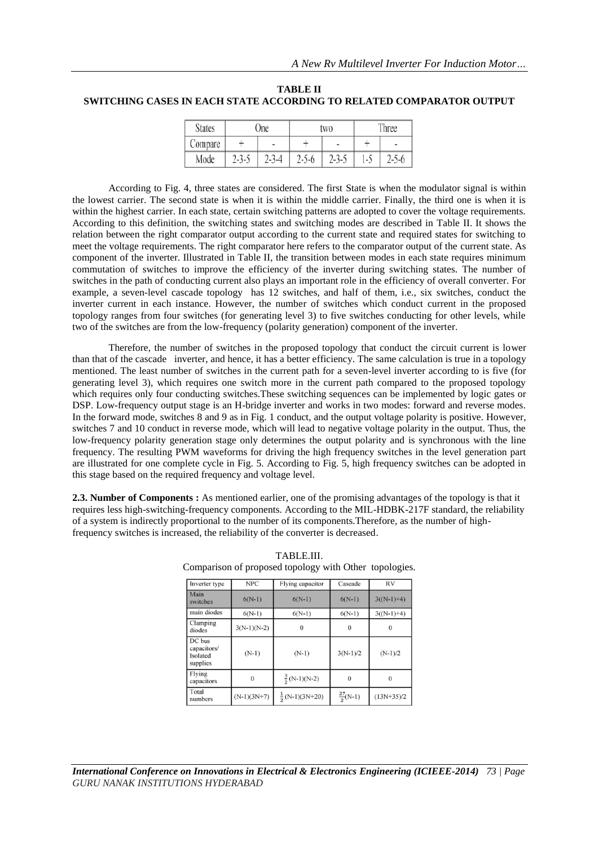# **TABLE II SWITCHING CASES IN EACH STATE ACCORDING TO RELATED COMPARATOR OUTPUT**

| <b>States</b> | )ne         |             | two         |             | Three |       |
|---------------|-------------|-------------|-------------|-------------|-------|-------|
| Compare       |             | ۰           | -           | ٠           |       | ٠     |
| Mode          | $2 - 3 - 5$ | $2 - 3 - 4$ | $2 - 5 - 6$ | $2 - 3 - 5$ |       | 2-5-6 |

According to Fig. 4, three states are considered. The first State is when the modulator signal is within the lowest carrier. The second state is when it is within the middle carrier. Finally, the third one is when it is within the highest carrier. In each state, certain switching patterns are adopted to cover the voltage requirements. According to this definition, the switching states and switching modes are described in Table II. It shows the relation between the right comparator output according to the current state and required states for switching to meet the voltage requirements. The right comparator here refers to the comparator output of the current state. As component of the inverter. Illustrated in Table II, the transition between modes in each state requires minimum commutation of switches to improve the efficiency of the inverter during switching states. The number of switches in the path of conducting current also plays an important role in the efficiency of overall converter. For example, a seven-level cascade topology has 12 switches, and half of them, i.e., six switches, conduct the inverter current in each instance. However, the number of switches which conduct current in the proposed topology ranges from four switches (for generating level 3) to five switches conducting for other levels, while two of the switches are from the low-frequency (polarity generation) component of the inverter.

Therefore, the number of switches in the proposed topology that conduct the circuit current is lower than that of the cascade inverter, and hence, it has a better efficiency. The same calculation is true in a topology mentioned. The least number of switches in the current path for a seven-level inverter according to is five (for generating level 3), which requires one switch more in the current path compared to the proposed topology which requires only four conducting switches.These switching sequences can be implemented by logic gates or DSP. Low-frequency output stage is an H-bridge inverter and works in two modes: forward and reverse modes. In the forward mode, switches 8 and 9 as in Fig. 1 conduct, and the output voltage polarity is positive. However, switches 7 and 10 conduct in reverse mode, which will lead to negative voltage polarity in the output. Thus, the low-frequency polarity generation stage only determines the output polarity and is synchronous with the line frequency. The resulting PWM waveforms for driving the high frequency switches in the level generation part are illustrated for one complete cycle in Fig. 5. According to Fig. 5, high frequency switches can be adopted in this stage based on the required frequency and voltage level.

**2.3. Number of Components :** As mentioned earlier, one of the promising advantages of the topology is that it requires less high-switching-frequency components. According to the MIL-HDBK-217F standard, the reliability of a system is indirectly proportional to the number of its components.Therefore, as the number of highfrequency switches is increased, the reliability of the converter is decreased.

| Inverter type                                 | <b>NPC</b>    | Flying capacitor           | Cascade              | <b>RV</b>    |
|-----------------------------------------------|---------------|----------------------------|----------------------|--------------|
| Main<br>switches                              | $6(N-1)$      | $6(N-1)$                   | $6(N-1)$             | $3((N-1)+4)$ |
| main diodes                                   | $6(N-1)$      | $6(N-1)$                   | $6(N-1)$             | $3((N-1)+4)$ |
| Clamping<br>diodes                            | $3(N-1)(N-2)$ | $\theta$                   | $\mathbf{0}$         | $\Omega$     |
| DC bus<br>capacitors/<br>Isolated<br>supplies | $(N-1)$       | $(N-1)$                    | $3(N-1)/2$           | $(N-1)/2$    |
| Flying<br>capacitors                          | $\mathbf{0}$  | $\frac{3}{2}$ (N-1)(N-2)   | $\mathbf{0}$         | $\Omega$     |
| Total<br>numbers                              | $(N-1)(3N+7)$ | $\frac{1}{2}$ (N-1)(3N+20) | $\frac{27}{2}$ (N-1) | $(13N+35)/2$ |

TABLE.III. Comparison of proposed topology with Other topologies.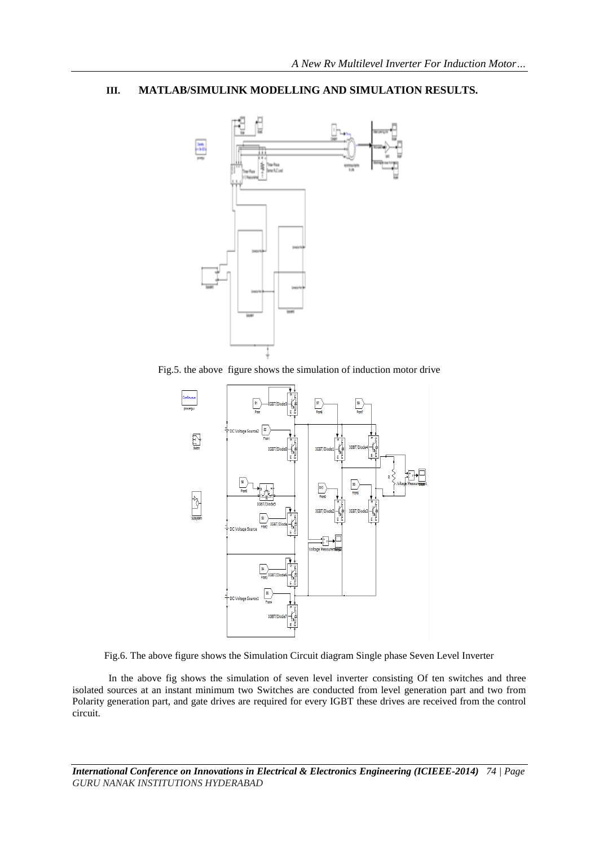

# **III. MATLAB/SIMULINK MODELLING AND SIMULATION RESULTS.**

Fig.5. the above figure shows the simulation of induction motor drive



Fig.6. The above figure shows the Simulation Circuit diagram Single phase Seven Level Inverter

In the above fig shows the simulation of seven level inverter consisting Of ten switches and three isolated sources at an instant minimum two Switches are conducted from level generation part and two from Polarity generation part, and gate drives are required for every IGBT these drives are received from the control circuit.

*International Conference on Innovations in Electrical & Electronics Engineering (ICIEEE-2014) 74 | Page GURU NANAK INSTITUTIONS HYDERABAD*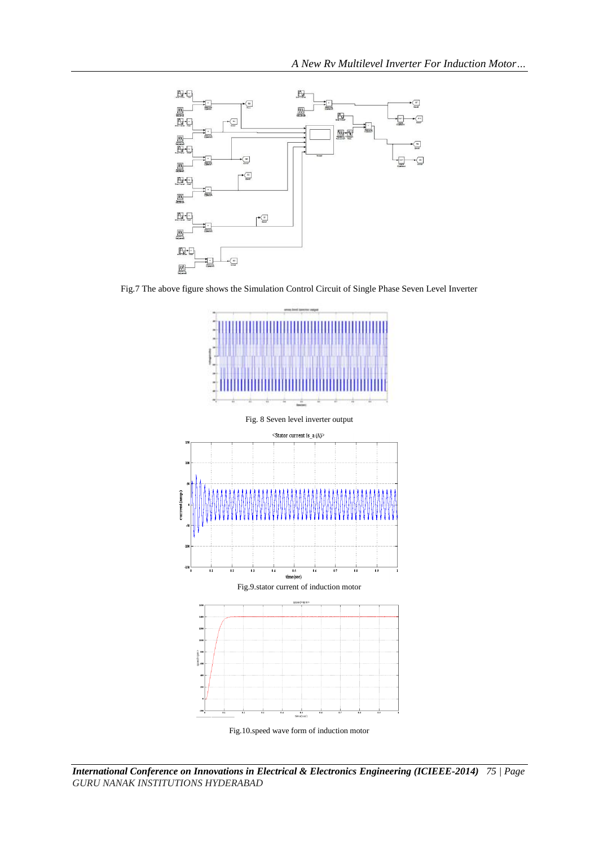

Fig.7 The above figure shows the Simulation Control Circuit of Single Phase Seven Level Inverter



*International Conference on Innovations in Electrical & Electronics Engineering (ICIEEE-2014) 75 | Page GURU NANAK INSTITUTIONS HYDERABAD*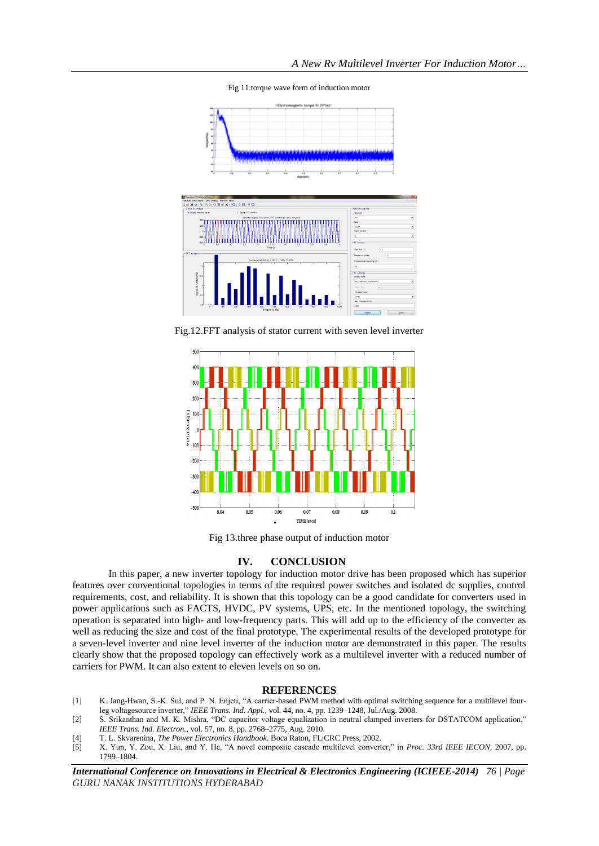Fig 11.torque wave form of induction motor



Fig.12.FFT analysis of stator current with seven level inverter



Fig 13.three phase output of induction motor

### **IV. CONCLUSION**

In this paper, a new inverter topology for induction motor drive has been proposed which has superior features over conventional topologies in terms of the required power switches and isolated dc supplies, control requirements, cost, and reliability. It is shown that this topology can be a good candidate for converters used in power applications such as FACTS, HVDC, PV systems, UPS, etc. In the mentioned topology, the switching operation is separated into high- and low-frequency parts. This will add up to the efficiency of the converter as well as reducing the size and cost of the final prototype. The experimental results of the developed prototype for a seven-level inverter and nine level inverter of the induction motor are demonstrated in this paper. The results clearly show that the proposed topology can effectively work as a multilevel inverter with a reduced number of carriers for PWM. It can also extent to eleven levels on so on.

#### **REFERENCES**

- [1] K. Jang-Hwan, S.-K. Sul, and P. N. Enjeti, "A carrier-based PWM method with optimal switching sequence for a multilevel fourleg voltagesource inverter," *IEEE Trans. Ind. Appl.*, vol. 44, no. 4, pp. 1239–1248, Jul./Aug. 2008.
- [2] S. Srikanthan and M. K. Mishra, "DC capacitor voltage equalization in neutral clamped inverters for DSTATCOM application," *IEEE Trans. Ind. Electron.*, vol. 57, no. 8, pp. 2768–2775, Aug. 2010.
- [4] T. L. Skvarenina, *The Power Electronics Handbook*. Boca Raton, FL:CRC Press, 2002.
- [5] X. Yun, Y. Zou, X. Liu, and Y. He, "A novel composite cascade multilevel converter," in *Proc. 33rd IEEE IECON*, 2007, pp. 1799–1804.

*International Conference on Innovations in Electrical & Electronics Engineering (ICIEEE-2014) 76 | Page GURU NANAK INSTITUTIONS HYDERABAD*